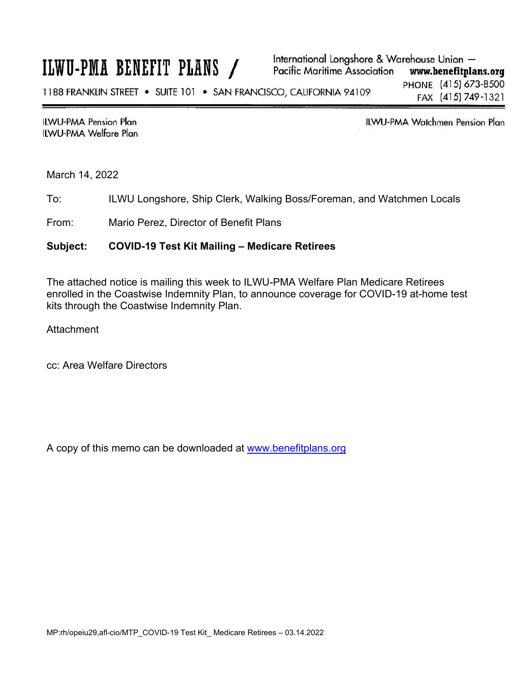## ILWU-PMA BENEFIT PLANS /

**ILWU-PMA Pension Plan** ILWU-PMA Welfare Plan ILWU-PMA Watchmen Pension Plan

March 14, 2022

To: ILWU Longshore, Ship Clerk, Walking Boss/Foreman, and Watchmen Locals

From: Mario Perez, Director of Benefit Plans

## **Subject: COVID-19 Test Kit Mailing – Medicare Retirees**

The attached notice is mailing this week to ILWU-PMA Welfare Plan Medicare Retirees enrolled in the Coastwise Indemnity Plan, to announce coverage for COVID-19 at-home test kits through the Coastwise Indemnity Plan.

Attachment

cc: Area Welfare Directors

A copy of this memo can be downloaded at www.benefitplans.org